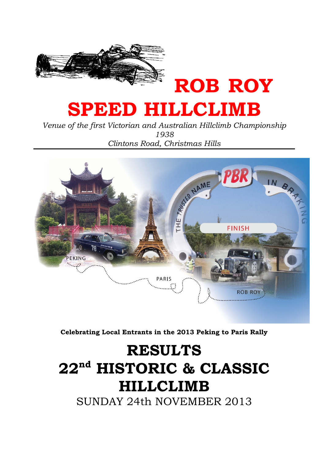

# SPEED HILLCLIMB

Venue of the first Victorian and Australian Hillclimb Championship 1938 Clintons Road, Christmas Hills



Celebrating Local Entrants in the 2013 Peking to Paris Rally

# RESULTS 22nd HISTORIC & CLASSIC HILLCLIMB

SUNDAY 24th NOVEMBER 2013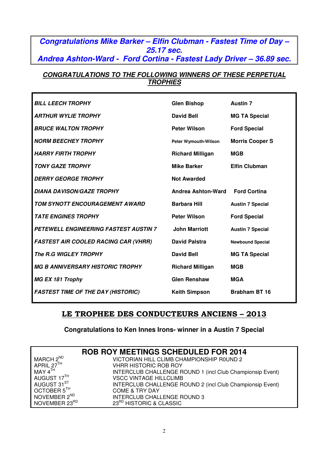# **Congratulations Mike Barker – Elfin Clubman - Fastest Time of Day – 25.17 sec. Andrea Ashton-Ward - Ford Cortina - Fastest Lady Driver – 36.89 sec.**

#### **CONGRATULATIONS TO THE FOLLOWING WINNERS OF THESE PERPETUAL TROPHIES**

| <b>BILL LEECH TROPHY</b>                     | <b>Glen Bishop</b>          | <b>Austin 7</b>         |
|----------------------------------------------|-----------------------------|-------------------------|
| <b>ARTHUR WYLIE TROPHY</b>                   | <b>David Bell</b>           | <b>MG TA Special</b>    |
| <b>BRUCE WALTON TROPHY</b>                   | <b>Peter Wilson</b>         | <b>Ford Special</b>     |
| <b>NORM BEECHEY TROPHY</b>                   | <b>Peter Wymouth-Wilson</b> | <b>Morris Cooper S</b>  |
| <b>HARRY FIRTH TROPHY</b>                    | <b>Richard Milligan</b>     | <b>MGB</b>              |
| <b>TONY GAZE TROPHY</b>                      | <b>Mike Barker</b>          | <b>Elfin Clubman</b>    |
| <b>DERRY GEORGE TROPHY</b>                   | <b>Not Awarded</b>          |                         |
| <b>DIANA DAVISON/GAZE TROPHY</b>             | Andrea Ashton-Ward          | <b>Ford Cortina</b>     |
| TOM SYNOTT ENCOURAGEMENT AWARD               | <b>Barbara Hill</b>         | <b>Austin 7 Special</b> |
| <b>TATE ENGINES TROPHY</b>                   | <b>Peter Wilson</b>         | <b>Ford Special</b>     |
| <b>PETEWELL ENGINEERING FASTEST AUSTIN 7</b> | <b>John Marriott</b>        | <b>Austin 7 Special</b> |
| <b>FASTEST AIR COOLED RACING CAR (VHRR)</b>  | <b>David Palstra</b>        | <b>Newbound Special</b> |
| The R.G WIGLEY TROPHY                        | <b>David Bell</b>           | <b>MG TA Special</b>    |
| <b>MG B ANNIVERSARY HISTORIC TROPHY</b>      | <b>Richard Milligan</b>     | <b>MGB</b>              |
| <b>MG EX 181 Trophy</b>                      | <b>Glen Renshaw</b>         | <b>MGA</b>              |
| <b>FASTEST TIME OF THE DAY (HISTORIC)</b>    | <b>Keith Simpson</b>        | <b>Brabham BT 16</b>    |

# LE TROPHEE DES CONDUCTEURS ANCIENS – 2013

#### **Congratulations to Ken Innes Irons- winner in a Austin 7 Special**

|                          | <b>ROB ROY MEETINGS SCHEDULED FOR 2014</b>                |
|--------------------------|-----------------------------------------------------------|
| MARCH 2 <sup>ND</sup>    | VICTORIAN HILL CLIMB CHAMPIONSHIP ROUND 2                 |
| APRIL $27TH$             | <b>VHRR HISTORIC ROB ROY</b>                              |
| MAY 4 <sup>TH</sup>      | INTERCLUB CHALLENGE ROUND 1 (incl Club Championsip Event) |
| AUGUST 17TH              | <b>VSCC VINTAGE HILLCLIMB</b>                             |
| AUGUST 31 <sup>ST</sup>  | INTERCLUB CHALLENGE ROUND 2 (incl Club Championsip Event) |
| OCTOBER 5TH              | <b>COME &amp; TRY DAY</b>                                 |
| NOVEMBER 2 <sup>ND</sup> | <b>INTERCLUB CHALLENGE ROUND 3</b>                        |
| NOVEMBER 23RD            | 23 <sup>RD</sup> HISTORIC & CLASSIC                       |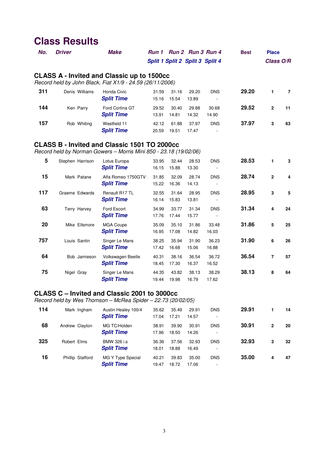| No. | <b>Driver</b> |                  | <b>Make</b>                                                                                                              | Split 1 Split 2 Split 3 Split 4 |                |                | Run 1 Run 2 Run 3 Run 4                | <b>Best</b> | <b>Place</b><br>Class O/R |                |
|-----|---------------|------------------|--------------------------------------------------------------------------------------------------------------------------|---------------------------------|----------------|----------------|----------------------------------------|-------------|---------------------------|----------------|
|     |               |                  | <b>CLASS A - Invited and Classic up to 1500cc</b><br>Record held by John Black, Fiat X1/9 - 24.59 (26/11/2006)           |                                 |                |                |                                        |             |                           |                |
| 311 |               | Denis Williams   | Honda Civic<br><b>Split Time</b>                                                                                         | 31.59<br>15.16                  | 31.16<br>15.54 | 29.20<br>13.89 | <b>DNS</b>                             | 29.20       | 1                         | $\overline{7}$ |
| 144 |               | Ken Parry        | Ford Cortina GT<br><b>Split Time</b>                                                                                     | 29.52<br>13.91                  | 30.40<br>14.81 | 29.88<br>14.32 | 30.68<br>14.90                         | 29.52       | $\overline{\mathbf{2}}$   | 11             |
| 157 |               | Rob Whiting      | Westfield 11<br><b>Split Time</b>                                                                                        | 42.12<br>20.59                  | 61.88<br>19.51 | 37.97<br>17.47 | <b>DNS</b>                             | 37.97       | $\mathbf 3$               | 63             |
|     |               |                  | <b>CLASS B - Invited and Classic 1501 TO 2000cc</b><br>Record held by Norman Gowers - Morris Mini 850 - 23.18 (19/02/06) |                                 |                |                |                                        |             |                           |                |
| 5   |               | Stephen Harrison | Lotus Europa<br><b>Split Time</b>                                                                                        | 33.95<br>16.15                  | 32.44<br>15.88 | 28.53<br>13.30 | <b>DNS</b>                             | 28.53       | 1                         | 3              |
| 15  |               | Mark Patane      | Alfa Romeo 1750GTV<br><b>Split Time</b>                                                                                  | 31.85<br>15.22                  | 32.09<br>16.36 | 28.74<br>14.13 | <b>DNS</b>                             | 28.74       | $\mathbf{2}$              | 4              |
| 117 |               | Graeme Edwards   | Renault R17 TL<br><b>Split Time</b>                                                                                      | 32.55<br>16.14                  | 31.64<br>15.83 | 28.95<br>13.81 | <b>DNS</b><br>$\overline{\phantom{a}}$ | 28.95       | 3                         | 5              |
| 63  |               | Terry Harvey     | Ford Escort<br><b>Split Time</b>                                                                                         | 34.99<br>17.76                  | 33.77<br>17.44 | 31.34<br>15.77 | <b>DNS</b><br>$\sim$                   | 31.34       | $\overline{\mathbf{4}}$   | 24             |
| 20  |               | Mike Ellsmore    | MGA Coupe<br><b>Split Time</b>                                                                                           | 35.09<br>16.95                  | 35.10<br>17.08 | 31.86<br>14.82 | 33.48<br>16.03                         | 31.86       | 5                         | 25             |
| 757 |               | Louis Santin     | Singer Le Mans<br><b>Split Time</b>                                                                                      | 38.25<br>17.42                  | 35.94<br>16.68 | 31.90<br>15.06 | 36.23<br>16.88                         | 31.90       | 6                         | 26             |
| 64  |               | Bob Jamieson     | Volkswagen Beetle<br><b>Split Time</b>                                                                                   | 40.31<br>18.45                  | 38.16<br>17.30 | 36.54<br>16.37 | 36.72<br>16.52                         | 36.54       | $\overline{7}$            | 57             |
| 75  | Nigel Gray    |                  | Singer Le Mans<br><b>Split Time</b>                                                                                      | 44.35<br>19.44                  | 43.82<br>19.98 | 38.13<br>16.79 | 38.29<br>17.62                         | 38.13       | 8                         | 64             |

# **CLASS C – Invited and Classic 2001 to 3000cc**

Record held by Wes Thomson – McRea Spider – 22.73 (20/02/05)

| 114 | Mark Ingham      | Austin Healey 100/4<br><b>Split Time</b> | 35.62<br>17.04 | 35.49<br>17.21 | 29.91<br>14.57 | <b>DNS</b><br>۰ | 29.91 |   | 14 |
|-----|------------------|------------------------------------------|----------------|----------------|----------------|-----------------|-------|---|----|
| 68  | Andrew Clayton   | MG TC/Holden<br><b>Split Time</b>        | 38.91<br>17.96 | 39.90<br>18.50 | 30.91<br>14.26 | <b>DNS</b><br>۰ | 30.91 | 2 | 20 |
| 325 | Robert Elms      | BMW 326 i.s<br><b>Split Time</b>         | 36.36<br>18.01 | 37.56<br>18.88 | 32.93<br>16.49 | <b>DNS</b><br>۰ | 32.93 | 3 | 32 |
| 16  | Phillip Stafford | MG Y Type Special<br><b>Split Time</b>   | 40.21<br>19.47 | 39.83<br>18.72 | 35.00<br>17.06 | <b>DNS</b><br>٠ | 35.00 | 4 | 47 |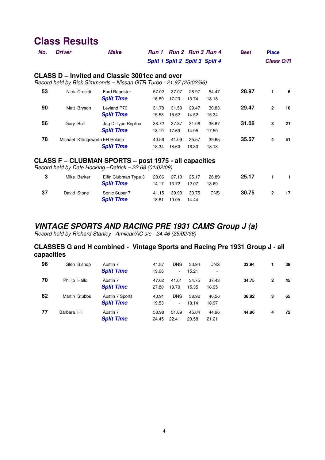| No.    | <b>Driver</b>                                                                                                       | <b>Make</b>                               | <b>Run 1</b><br>Split 1 Split 2 Split 3 Split 4 |                |                | Run 2 Run 3 Run 4 | <b>Best</b> | <b>Place</b><br>Class O/R |    |
|--------|---------------------------------------------------------------------------------------------------------------------|-------------------------------------------|-------------------------------------------------|----------------|----------------|-------------------|-------------|---------------------------|----|
|        | CLASS D – Invited and Classic 3001cc and over<br>Record held by Rick Simmonds - Nissan GTR Turbo - 21.97 (25/02/96) |                                           |                                                 |                |                |                   |             |                           |    |
| 53     | Nick Crocitti                                                                                                       | <b>Ford Roadster</b><br><b>Split Time</b> | 57.02<br>16.89                                  | 37.07<br>17.23 | 28.97<br>13.74 | 54.47<br>18.18    | 28.97       |                           | 6  |
| 90     | Matt Bryson                                                                                                         | Leyland P76<br><b>Split Time</b>          | 31.78<br>15.53                                  | 31.59<br>15.52 | 29.47<br>14.52 | 30.83<br>15.34    | 29.47       | $\mathbf{2}$              | 10 |
| 56     | Gary Ball                                                                                                           | Jag D-Type Replica<br><b>Split Time</b>   | 38.72<br>18.19                                  | 37.87<br>17.69 | 31.08<br>14.95 | 36.67<br>17.50    | 31.08       | 3                         | 21 |
| 78     | Michael Killingsworth EH Holden                                                                                     | <b>Split Time</b>                         | 40.56<br>18.34                                  | 41.09<br>18.60 | 35.57<br>16.80 | 39.65<br>18.18    | 35.57       | 4                         | 51 |
| ^' ^^^ |                                                                                                                     | ALUDMAN ABARTA                            | -- 407F                                         |                | - 11 - - - - - |                   |             |                           |    |

#### **CLASS F – CLUBMAN SPORTS – post 1975 - all capacities**

Record held by Dale Hocking –Dalrick – 22.68 (01/02/09)

|    | Mike Barker | Elfin Clubman Type 3<br><b>Split Time</b> |       | 28.06 27.13 25.17<br>14.17 13.72 | 12.07          | 26.89<br>13.69  | 25.17 |               |    |
|----|-------------|-------------------------------------------|-------|----------------------------------|----------------|-----------------|-------|---------------|----|
| 37 | David Stone | Sonic Super 7<br><b>Split Time</b>        | 18.61 | 41.15 39.93<br>19.05             | 30.75<br>14.44 | <b>DNS</b><br>۰ | 30.75 | $\mathcal{P}$ | 17 |

## **VINTAGE SPORTS AND RACING PRE 1931 CAMS Group J (a)**

Record held by Richard Stanley –Amilcar/AC s/c - 24.46 (25/02/96)

#### **CLASSES G and H combined - Vintage Sports and Racing Pre 1931 Group J - all capacities**

| 96 | Glen Bishop   | Austin 7<br><b>Split Time</b>        | 41.87<br>19.66 | <b>DNS</b><br>$\overline{\phantom{a}}$ | 33.94<br>15.21 | <b>DNS</b><br>$\overline{a}$ | 33.94 |   | 39 |
|----|---------------|--------------------------------------|----------------|----------------------------------------|----------------|------------------------------|-------|---|----|
| 70 | Phillip Hallo | Austin 7<br><b>Split Time</b>        | 47.62<br>27.80 | 41.61<br>19.70                         | 34.75<br>15.35 | 37.43<br>16.95               | 34.75 | 2 | 45 |
| 82 | Martin Stubbs | Austin 7 Sports<br><b>Split Time</b> | 43.91<br>19.53 | <b>DNS</b><br>$\overline{\phantom{a}}$ | 38.92<br>18.14 | 40.56<br>18.97               | 38.92 | 3 | 65 |
| 77 | Barbara Hill  | Austin 7<br><b>Split Time</b>        | 58.98<br>24.45 | 51.89<br>22.41                         | 45.04<br>20.58 | 44.96<br>21.21               | 44.96 | 4 | 72 |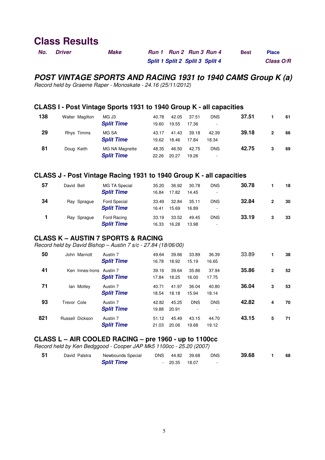| No. | <i><b>Driver</b></i> | Make | Run 1 Run 2 Run 3 Run 4         | <b>Best</b> | <b>Place</b> |
|-----|----------------------|------|---------------------------------|-------------|--------------|
|     |                      |      | Split 1 Split 2 Split 3 Split 4 |             | Class O/R    |

## **POST VINTAGE SPORTS AND RACING 1931 to 1940 CAMS Group K (a)**

Record held by Graeme Raper - Monoskate - 24.16 (25/11/2012)

#### **CLASS I - Post Vintage Sports 1931 to 1940 Group K - all capacities**

| 138 | Walter Magilton | MG J3<br><b>Split Time</b>          | 40.78          | 42.05          | 37.51          | <b>DNS</b>          | 37.51 |   | 61 |
|-----|-----------------|-------------------------------------|----------------|----------------|----------------|---------------------|-------|---|----|
| 29  | Rhys Timms      | MG SA                               | 19.60<br>43.17 | 19.55<br>41.43 | 17.36<br>39.18 | 42.39               | 39.18 | 2 | 66 |
| 81  | Doug Keith      | <b>Split Time</b><br>MG NA Magnette | 19.62<br>48.35 | 18.46<br>46.50 | 17.84<br>42.75 | 18.34<br><b>DNS</b> | 42.75 | 3 | 69 |
|     |                 | <b>Split Time</b>                   | 22.26          | 20.27          | 19.26          | ٠                   |       |   |    |

#### **CLASS J - Post Vintage Racing 1931 to 1940 Group K - all capacities**

| 57 | David Bell  | MG TA Special<br><b>Split Time</b>       | 35.20<br>16.84 | 36.92<br>17.82 | 30.78<br>14.45 | <b>DNS</b><br>۰ | 30.78 |   | 18 |
|----|-------------|------------------------------------------|----------------|----------------|----------------|-----------------|-------|---|----|
| 34 | Ray Sprague | <b>Ford Special</b><br><b>Split Time</b> | 33.49<br>16.41 | 32.84<br>15.69 | 35.11<br>16.89 | <b>DNS</b><br>۰ | 32.84 | 2 | 30 |
|    | Ray Sprague | Ford Racing<br><b>Split Time</b>         | 33.19<br>16.33 | 33.52<br>16.28 | 49.45<br>13.98 | <b>DNS</b><br>۰ | 33.19 | 3 | 33 |

#### **CLASS K – AUSTIN 7 SPORTS & RACING**

Record held by David Bishop – Austin 7 s/c - 27.84 (18/06/00)

| 50  | John Marriott   | Austin 7<br><b>Split Time</b> | 49.64<br>16.78 | 39.66<br>18.92 | 33.89<br>15.19 | 36.39<br>16.65 | 33.89 |              | 38 |
|-----|-----------------|-------------------------------|----------------|----------------|----------------|----------------|-------|--------------|----|
| 41  | Ken Innes-Irons | Austin 7<br><b>Split Time</b> | 39.16<br>17.84 | 39.64<br>18.25 | 35.86<br>16.00 | 37.94<br>17.75 | 35.86 | $\mathbf{2}$ | 52 |
| 71  | lan Motley      | Austin 7<br><b>Split Time</b> | 40.71<br>18.54 | 41.97<br>18.18 | 36.04<br>15.94 | 40.80<br>18.14 | 36.04 | 3            | 53 |
| 93  | Trevor Cole     | Austin 7<br><b>Split Time</b> | 42.82<br>19.88 | 45.25<br>20.91 | <b>DNS</b>     | <b>DNS</b>     | 42.82 | 4            | 70 |
| 821 | Russell Dickson | Austin 7<br><b>Split Time</b> | 51.12<br>21.03 | 45.49<br>20.06 | 43.15<br>19.68 | 44.70<br>19.12 | 43.15 | 5            | 71 |

#### **CLASS L – AIR COOLED RACING – pre 1960 - up to 1100cc**

Record held by Ken Bedggood - Cooper JAP Mk5 1100cc - 25.20 (2007)

| 51 | David Palstra | Newbounds Special |                | DNS 44.82 39.68 | <b>DNS</b> | 39.68 | 68 |
|----|---------------|-------------------|----------------|-----------------|------------|-------|----|
|    |               | <b>Split Time</b> | $-20.35$ 18.07 |                 |            |       |    |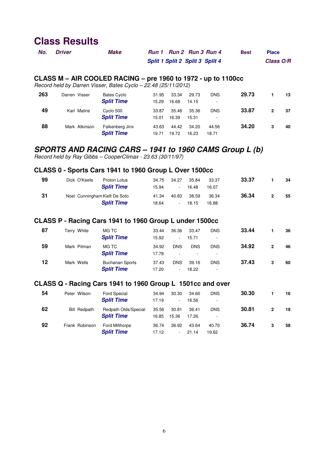| No. | <b>Driver</b> | <b>Make</b> | Run 1 Run 2 Run 3 Run 4         | <b>Best</b> | <b>Place</b> |
|-----|---------------|-------------|---------------------------------|-------------|--------------|
|     |               |             | Split 1 Split 2 Split 3 Split 4 |             | Class O/R    |

#### **CLASS M – AIR COOLED RACING – pre 1960 to 1972 - up to 1100cc**

Record held by Darren Visser, Bates Cyclo – 22.48 (25/11/2012)

| 263 | Darren Visser | <b>Bates Cyclo</b><br><b>Split Time</b> | 31.95<br>15.29 | 33.34<br>16.68 | 29.73<br>14.15 | <b>DNS</b><br>- | 29.73 |   | 13 |
|-----|---------------|-----------------------------------------|----------------|----------------|----------------|-----------------|-------|---|----|
| 49  | Karl Malins   | Cyclo 500<br><b>Split Time</b>          | 33.87<br>15.01 | 35.48<br>16.39 | 35.36<br>15.31 | <b>DNS</b><br>۰ | 33.87 | 2 | 37 |
| 88  | Mark Atkinson | Falkenberg Jinx<br><b>Split Time</b>    | 43.63<br>19.71 | 44.42<br>19.72 | 34.20<br>16.23 | 44.56<br>18.71  | 34.20 | 3 | 40 |

## **SPORTS AND RACING CARS – 1941 to 1960 CAMS Group L (b)**

Record held by Ray Gibbs – CooperClimax - 23.63 (30/11/97)

#### **CLASS 0 - Sports Cars 1941 to 1960 Group L Over 1500cc**

| 99 | Dick O'Keefe                  | Proton Lotus<br><b>Split Time</b> | 34.75<br>15.94 | 34.27<br>$\sim$ | 35.84<br>16.48 | 33.37<br>16.07 | 33.37 |               | 34 |
|----|-------------------------------|-----------------------------------|----------------|-----------------|----------------|----------------|-------|---------------|----|
| 31 | Noel Cunningham Kieft De Soto | <b>Split Time</b>                 | 41.34<br>18.64 | 40.83<br>٠.     | 38.59<br>18.15 | 36.34<br>16.88 | 36.34 | $\mathcal{P}$ | 55 |

#### **CLASS P - Racing Cars 1941 to 1960 Group L under 1500cc**

| 87 | Terry White | MG TC<br><b>Split Time</b>                  | 33.44<br>15.92 | 36.36<br>$\overline{\phantom{0}}$ | 33.47<br>15.71   | <b>DNS</b><br>$\overline{a}$ | 33.44 |              | 36 |
|----|-------------|---------------------------------------------|----------------|-----------------------------------|------------------|------------------------------|-------|--------------|----|
| 59 | Mark Pitman | MG TC<br><b>Split Time</b>                  | 34.92<br>17.78 | <b>DNS</b><br>٠                   | <b>DNS</b><br>۰. | <b>DNS</b><br>۰.             | 34.92 | $\mathbf{2}$ | 46 |
| 12 | Mark Wells  | <b>Buchanan Sports</b><br><b>Split Time</b> | 37.43<br>17.20 | <b>DNS</b><br>-                   | 39.16<br>18.22   | <b>DNS</b><br>-              | 37.43 | 3            | 60 |

#### **CLASS Q - Racing Cars 1941 to 1960 Group L 1501cc and over**

| 54 | Peter Wilson        | <b>Ford Special</b><br><b>Split Time</b>   | 34.94<br>17.19 | 30.30<br>$\overline{\phantom{0}}$ | 34.60<br>16.56 | <b>DNS</b><br>-                            | 30.30 |   | 16 |
|----|---------------------|--------------------------------------------|----------------|-----------------------------------|----------------|--------------------------------------------|-------|---|----|
| 62 | <b>Bill Redpath</b> | Redpath Olds/Special<br><b>Split Time</b>  | 35.56<br>16.85 | 30.81<br>15.36                    | 36.41<br>17.26 | <b>DNS</b><br>$\qquad \qquad \blacksquare$ | 30.81 | 2 | 19 |
| 92 | Frank Robinson      | <b>Ford Milthorpe</b><br><b>Split Time</b> | 36.74<br>17.12 | 36.92<br>۰.                       | 43.64<br>21.14 | 40.70<br>19.62                             | 36.74 | 3 | 58 |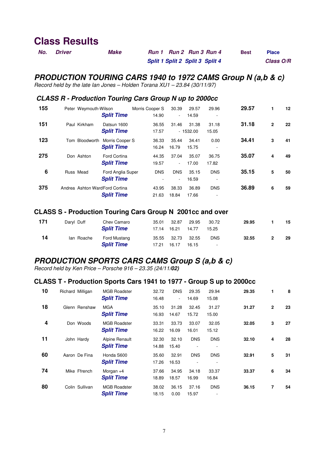| No. | <i><b>Driver</b></i> | <b>Make</b> | Run 1 Run 2 Run 3 Run 4         | <b>Best</b> | <b>Place</b> |
|-----|----------------------|-------------|---------------------------------|-------------|--------------|
|     |                      |             | Split 1 Split 2 Split 3 Split 4 |             | Class O/R    |

## **PRODUCTION TOURING CARS 1940 to 1972 CAMS Group N (a,b & c)**

Record held by the late Ian Jones – Holden Torana XU1 – 23.84 (30/11/97)

#### **CLASS R - Production Touring Cars Group N up to 2000cc**

| 155 | Peter Weymouth-Wilson<br><b>Split Time</b>                | Morris Cooper S<br>14.90 | 30.39<br>$\overline{\phantom{0}}$ | 29.57<br>14.59      | 29.96<br>٠      | 29.57 | 1            | 12 |
|-----|-----------------------------------------------------------|--------------------------|-----------------------------------|---------------------|-----------------|-------|--------------|----|
| 151 | Paul Kirkham<br>Datsun 1600<br><b>Split Time</b>          | 36.55<br>17.57           | 31.46                             | 31.38<br>$-1532.00$ | 31.18<br>15.05  | 31.18 | $\mathbf{2}$ | 22 |
| 123 | Bloodworth<br>Morris Cooper S<br>Tom<br><b>Split Time</b> | 36.33<br>16.24           | 35.44<br>16.79                    | 34.41<br>15.75      | 0.00<br>۰       | 34.41 | 3            | 41 |
| 275 | <b>Ford Cortina</b><br>Don Ashton<br><b>Split Time</b>    | 44.35<br>19.57           | 37.04<br>۰.                       | 35.07<br>17.00      | 36.75<br>17.82  | 35.07 | 4            | 49 |
| 6   | Russ Mead<br>Ford Anglia Super<br><b>Split Time</b>       | <b>DNS</b><br>۰          | <b>DNS</b><br>$\sim$              | 35.15<br>16.59      | <b>DNS</b><br>۰ | 35.15 | 5            | 50 |
| 375 | Andrea Ashton WardFord Cortina<br><b>Split Time</b>       | 43.95<br>21.63           | 38.33<br>18.84                    | 36.89<br>17.66      | <b>DNS</b><br>۰ | 36.89 | 6            | 59 |

#### **CLASS S - Production Touring Cars Group N 2001cc and over**

| 171 | Daryl Duff | Chev Camaro<br><b>Split Time</b>  | 35.01 | 32.87<br>17.14 16.21 | 29.95<br>14.77 | 30.72<br>15.25       | 29.95 |   | 15 |
|-----|------------|-----------------------------------|-------|----------------------|----------------|----------------------|-------|---|----|
| 14  | lan Roache | Ford Mustang<br><b>Split Time</b> | 17.21 | 35.55 32.73<br>16.17 | 32.55<br>16.15 | <b>DNS</b><br>$\sim$ | 32.55 | 2 | 29 |

# **PRODUCTION SPORTS CARS CAMS Group S (a,b & c)**

Record held by Ken Price – Porsche 916 – 23.35 (24/11**/02)** 

#### **CLASS T - Production Sports Cars 1941 to 1977 - Group S up to 2000cc**

| 10 | Richard Milligan | <b>MGB Roadster</b><br><b>Split Time</b> | 32.72<br>16.48 | <b>DNS</b><br>$\overline{\phantom{a}}$ | 29.35<br>14.69 | 29.94<br>15.08 | 29.35 | 1            | 8  |
|----|------------------|------------------------------------------|----------------|----------------------------------------|----------------|----------------|-------|--------------|----|
| 18 | Glenn Renshaw    | <b>MGA</b><br><b>Split Time</b>          | 35.10<br>16.93 | 31.28<br>14.67                         | 32.45<br>15.72 | 31.27<br>15.00 | 31.27 | $\mathbf{2}$ | 23 |
| 4  | Don Woods        | <b>MGB Roadster</b><br><b>Split Time</b> | 33.31<br>16.22 | 33.73<br>16.09                         | 33.07<br>16.01 | 32.05<br>15.12 | 32.05 | 3            | 27 |
| 11 | John Hardy       | Alpine Renault<br><b>Split Time</b>      | 32.30<br>14.88 | 32.10<br>15.40                         | <b>DNS</b>     | <b>DNS</b>     | 32.10 | 4            | 28 |
| 60 | Aaron De Fina    | Honda S600<br><b>Split Time</b>          | 35.60<br>17.26 | 32.91<br>16.53                         | <b>DNS</b>     | <b>DNS</b>     | 32.91 | 5            | 31 |
| 74 | Mike Ffrench     | Morgan $+4$<br><b>Split Time</b>         | 37.66<br>18.89 | 34.95<br>18.57                         | 34.18<br>16.99 | 33.37<br>16.84 | 33.37 | 6            | 34 |
| 80 | Colin Sullivan   | <b>MGB Roadster</b><br><b>Split Time</b> | 38.02<br>18.15 | 36.15<br>0.00                          | 37.16<br>15.97 | <b>DNS</b>     | 36.15 | 7            | 54 |